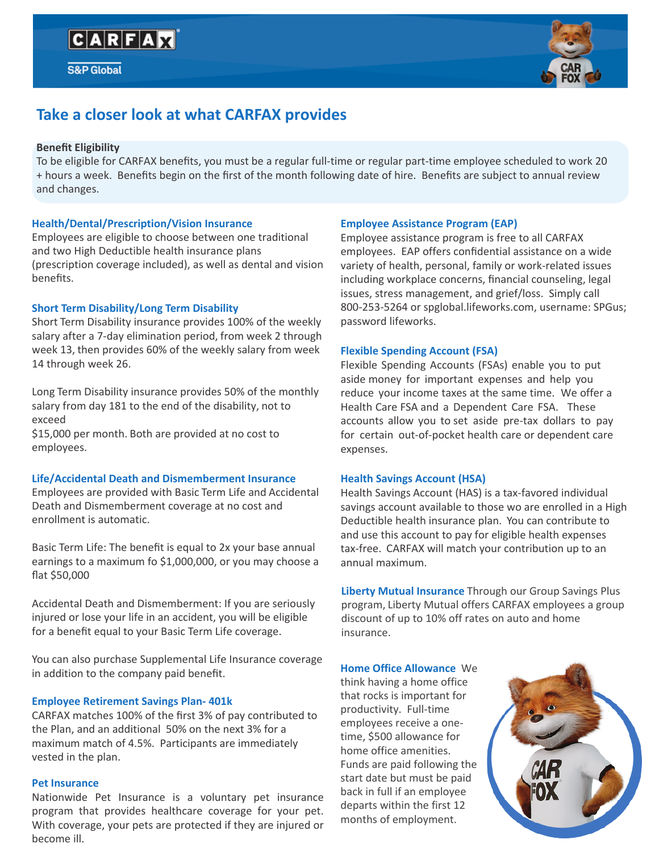

# **Take a closer look at what CARFAX provides**

#### **Benefit Eligibility**

To be eligible for CARFAX benefits, you must be a regular full-time or regular part-time employee scheduled to work 20 + hours a week. Benefits begin on the first of the month following date of hire. Benefits are subject to annual review and changes.

#### **Health/Dental/Prescription/Vision Insurance**

Employees are eligible to choose between one traditional and two High Deductible health insurance plans (prescription coverage included), as well as dental and vision benefits.

#### **Short Term Disability/Long Term Disability**

Short Term Disability insurance provides 100% of the weekly salary after a 7-day elimination period, from week 2 through week 13, then provides 60% of the weekly salary from week 14 through week 26.

Long Term Disability insurance provides 50% of the monthly salary from day 181 to the end of the disability, not to exceed

\$15,000 per month. Both are provided at no cost to employees.

#### **Life/Accidental Death and Dismemberment Insurance**

Employees are provided with Basic Term Life and Accidental Death and Dismemberment coverage at no cost and enrollment is automatic.

Basic Term Life: The benefit is equal to 2x your base annual earnings to a maximum fo \$1,000,000, or you may choose a flat \$50,000

Accidental Death and Dismemberment: If you are seriously injured or lose your life in an accident, you will be eligible for a benefit equal to your Basic Term Life coverage.

You can also purchase Supplemental Life Insurance coverage in addition to the company paid benefit.

#### **Employee Retirement Savings Plan- 401k**

CARFAX matches 100% of the first 3% of pay contributed to the Plan, and an additional 50% on the next 3% for a maximum match of 4.5%. Participants are immediately vested in the plan.

#### **Pet Insurance**

Nationwide Pet Insurance is a voluntary pet insurance program that provides healthcare coverage for your pet. With coverage, your pets are protected if they are injured or become ill.

#### **Employee Assistance Program (EAP)**

Employee assistance program is free to all CARFAX employees. EAP offers confidential assistance on a wide variety of health, personal, family or work-related issues including workplace concerns, financial counseling, legal issues, stress management, and grief/loss. Simply call 800-253-5264 or spglobal.lifeworks.com, username: SPGus; password lifeworks.

#### **Flexible Spending Account (FSA)**

Flexible Spending Accounts (FSAs) enable you to put aside money for important expenses and help you reduce your income taxes at the same time. We offer a Health Care FSA and a Dependent Care FSA. These accounts allow you to set aside pre-tax dollars to pay for certain out-of-pocket health care or dependent care expenses.

#### **Health Savings Account (HSA)**

Health Savings Account (HAS) is a tax-favored individual savings account available to those wo are enrolled in a High Deductible health insurance plan. You can contribute to and use this account to pay for eligible health expenses tax-free. CARFAX will match your contribution up to an annual maximum.

**Liberty Mutual Insurance** Through our Group Savings Plus program, Liberty Mutual offers CARFAX employees a group discount of up to 10% off rates on auto and home insurance.

#### **Home Office Allowance** We

think having a home office that rocks is important for productivity. Full-time employees receive a onetime, \$500 allowance for home office amenities. Funds are paid following the start date but must be paid back in full if an employee departs within the first 12 months of employment.

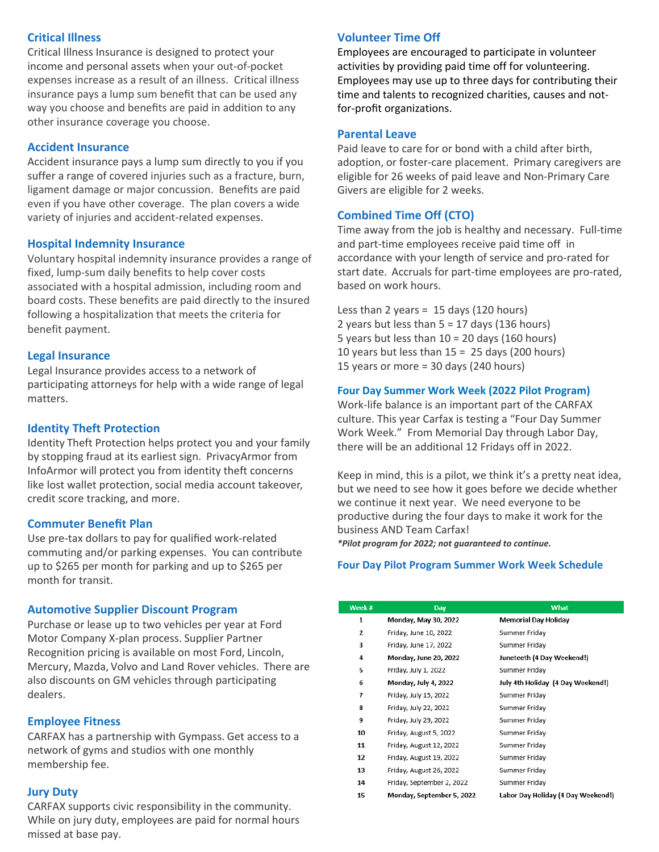# **Critical Illness**

Critical Illness Insurance is designed to protect your income and personal assets when your out-of-pocket expenses increase as a result of an illness. Critical illness insurance pays a lump sum benefit that can be used any way you choose and benefits are paid in addition to any other insurance coverage you choose.

#### **Accident Insurance**

Accident insurance pays a lump sum directly to you if you suffer a range of covered injuries such as a fracture, burn, ligament damage or major concussion. Benefits are paid even if you have other coverage. The plan covers a wide variety of injuries and accident-related expenses.

#### **Hospital Indemnity Insurance**

Voluntary hospital indemnity insurance provides a range of fixed, lump-sum daily benefits to help cover costs associated with a hospital admission, including room and board costs. These benefits are paid directly to the insured following a hospitalization that meets the criteria for benefit payment.

#### **Legal Insurance**

Legal Insurance provides access to a network of participating attorneys for help with a wide range of legal matters.

#### **Identity Theft Protection**

Identity Theft Protection helps protect you and your family by stopping fraud at its earliest sign. PrivacyArmor from InfoArmor will protect you from identity theft concerns like lost wallet protection, social media account takeover, credit score tracking, and more.

#### **Commuter Benefit Plan**

Use pre-tax dollars to pay for qualified work-related commuting and/or parking expenses. You can contribute up to \$265 per month for parking and up to \$265 per month for transit.

#### **Automotive Supplier Discount Program**

Purchase or lease up to two vehicles per year at Ford Motor Company X-plan process. Supplier Partner Recognition pricing is available on most Ford, Lincoln, Mercury, Mazda, Volvo and Land Rover vehicles. There are also discounts on GM vehicles through participating dealers.

# **Employee Fitness**

CARFAX has a partnership with Gympass. Get access to a network of gyms and studios with one monthly membership fee.

#### **Jury Duty**

CARFAX supports civic responsibility in the community. While on jury duty, employees are paid for normal hours missed at base pay.

## **Volunteer Time Off**

Employees are encouraged to participate in volunteer activities by providing paid time off for volunteering. Employees may use up to three days for contributing their time and talents to recognized charities, causes and notfor-profit organizations.

#### **Parental Leave**

Paid leave to care for or bond with a child after birth, adoption, or foster-care placement. Primary caregivers are eligible for 26 weeks of paid leave and Non-Primary Care Givers are eligible for 2 weeks.

### **Combined Time Off (CTO)**

Time away from the job is healthy and necessary. Full-time and part-time employees receive paid time off in accordance with your length of service and pro-rated for start date. Accruals for part-time employees are pro-rated, based on work hours.

Less than 2 years =  $15$  days (120 hours) 2 years but less than  $5 = 17$  days (136 hours) 5 years but less than 10 = 20 days (160 hours) 10 years but less than  $15 = 25$  days (200 hours) 15 years or more = 30 days (240 hours)

#### **Four Day Summer Work Week (2022 Pilot Program)**

Work-life balance is an important part of the CARFAX culture. This year Carfax is testing a "Four Day Summer Work Week." From Memorial Day through Labor Day, there will be an additional 12 Fridays off in 2022.

Keep in mind, this is a pilot, we think it's a pretty neat idea, but we need to see how it goes before we decide whether we continue it next year. We need everyone to be productive during the four days to make it work for the business AND Team Carfax!

*\*Pilot program for 2022; not guaranteed to continue.*

#### **Four Day Pilot Program Summer Work Week Schedule**

| Week # | Day                       | What                               |
|--------|---------------------------|------------------------------------|
| 1      | Monday, May 30, 2022      | Memorial Day Holiday               |
| 2      | Friday, June 10, 2022     | Summer Friday                      |
| з      | Friday, June 17, 2022     | Summer Friday                      |
| 4      | Monday, June 20, 2022     | Juneteeth (4 Day Weekend!)         |
| 5      | Friday, July 1, 2022      | Summer Friday                      |
| 6      | Monday, July 4, 2022      | July 4th Holiday (4 Day Weekend!)  |
| 7      | Friday, July 15, 2022     | Summer Friday                      |
| 8      | Friday, July 22, 2022     | Summer Friday                      |
| 9      | Friday, July 29, 2022     | Summer Friday                      |
| 10     | Friday, August 5, 2022    | Summer Friday                      |
| 11     | Friday, August 12, 2022   | Summer Friday                      |
| 12     | Friday, August 19, 2022   | Summer Friday                      |
| 13     | Friday, August 26, 2022   | Summer Friday                      |
| 14     | Friday, September 2, 2022 | Summer Friday                      |
| 15     | Monday, September 5, 2022 | Labor Day Holiday (4 Day Weekend!) |